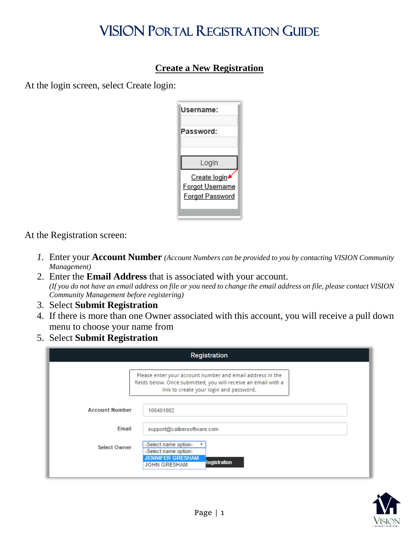## VISION PORTAL REGISTRATION GUIDE

## **Create a New Registration**

At the login screen, select Create login:

| Username:              |
|------------------------|
| Password:              |
|                        |
| Login                  |
| Create login           |
| Forgot Username        |
| <b>Forgot Password</b> |
|                        |
|                        |

At the Registration screen:

- *1.* Enter your **Account Number** *(Account Numbers can be provided to you by contacting VISION Community Management)*
- 2. Enter the **Email Address** that is associated with your account. *(If you do not have an email address on file or you need to change the email address on file, please contact VISION Community Management before registering)*
- 3. Select **Submit Registration**
- 4. If there is more than one Owner associated with this account, you will receive a pull down menu to choose your name from
- 5. Select **Submit Registration**

|                       | Registration                                                                                                                                                           |
|-----------------------|------------------------------------------------------------------------------------------------------------------------------------------------------------------------|
|                       | Please enter your account number and email address in the<br>fields below. Once submitted, you will receive an email with a<br>link to create your login and password. |
| <b>Account Number</b> | 106401902                                                                                                                                                              |
| Email                 | support@calibersoftware.com                                                                                                                                            |
| Select Owner          | -Select name option-<br>-Select name option-<br><b>JENNIFER GRESHAM</b><br>Registration<br><b>JOHN GRESHAM</b>                                                         |

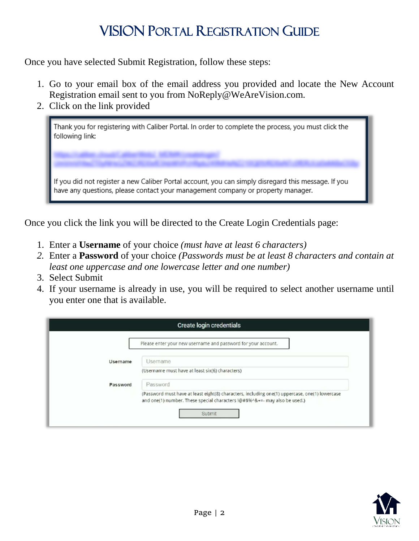## VISION PORTAL REGISTRATION GUIDE

Once you have selected Submit Registration, follow these steps:

- 1. Go to your email box of the email address you provided and locate the New Account Registration email sent to you from NoReply@WeAreVision.com.
- 2. Click on the link provided

| Thank you for registering with Caliber Portal. In order to complete the process, you must click the T<br>following link:                                                               |
|----------------------------------------------------------------------------------------------------------------------------------------------------------------------------------------|
| If you did not register a new Caliber Portal account, you can simply disregard this message. If you<br>have any questions, please contact your management company or property manager. |

Once you click the link you will be directed to the Create Login Credentials page:

- 1. Enter a **Username** of your choice *(must have at least 6 characters)*
- *2.* Enter a **Password** of your choice *(Passwords must be at least 8 characters and contain at least one uppercase and one lowercase letter and one number)*
- 3. Select Submit
- 4. If your username is already in use, you will be required to select another username until you enter one that is available.

|          | Create login credentials                                                                                                                                                     |
|----------|------------------------------------------------------------------------------------------------------------------------------------------------------------------------------|
|          | Please enter your new username and password for your account.                                                                                                                |
| Username | Username                                                                                                                                                                     |
|          | (Username must have at least six(6) characters)                                                                                                                              |
| Password | Password                                                                                                                                                                     |
|          | (Password must have at least eight(8) characters, including one(1) uppercase, one(1) lowercase<br>and one(1) number. These special characters !@#\$%^&+=- may also be used.) |
|          | Submit                                                                                                                                                                       |